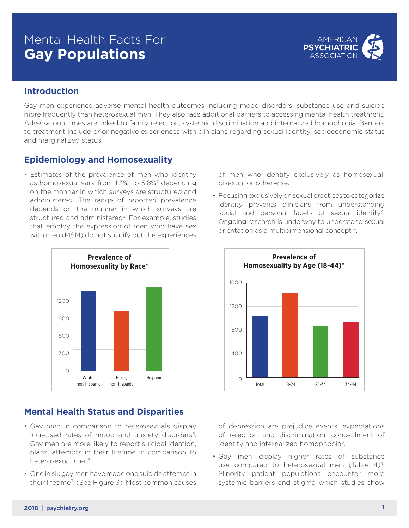# Mental Health Facts For **Gay Populations**



# **Introduction**

Gay men experience adverse mental health outcomes including mood disorders, substance use and suicide more frequently than heterosexual men. They also face additional barriers to accessing mental health treatment. Adverse outcomes are linked to family rejection, systemic discrimination and internalized homophobia. Barriers to treatment include prior negative experiences with clinicians regarding sexual identity, socioeconomic status and marginalized status.

#### **Epidemiology and Homosexuality**

• Estimates of the prevalence of men who identify as homosexual vary from 1.3%<sup>1</sup> to 5.8%<sup>2</sup> depending on the manner in which surveys are structured and administered. The range of reported prevalence depends on the manner in which surveys are structured and administered<sup>3</sup>. For example, studies that employ the expression of men who have sex with men (MSM) do not stratify out the experiences



# **Mental Health Status and Disparities**

- Gay men in comparison to heterosexuals display increased rates of mood and anxiety disorders<sup>5</sup>. Gay men are more likely to report suicidal ideation, plans, attempts in their lifetime in comparison to heterosexual men<sup>6</sup>.
- One in six gay men have made one suicide attempt in their lifetime<sup>7</sup>. (See Figure 3). Most common causes

of men who identify exclusively as homosexual, bisexual or otherwise.

• Focusing exclusively on sexual practices to categorize identity prevents clinicians from understanding social and personal facets of sexual identity<sup>3</sup>. Ongoing research is underway to understand sexual orientation as a multidimensional concept 4.



of depression are prejudice events, expectations of rejection and discrimination, concealment of identity and internalized homophobia<sup>8</sup>.

• Gay men display higher rates of substance use compared to heterosexual men (Table 4)<sup>9</sup>. Minority patient populations encounter more systemic barriers and stigma which studies show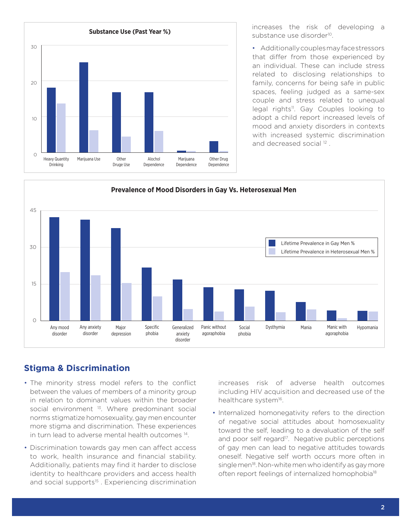

increases the risk of developing a substance use disorder<sup>10</sup>.

• Additionally couples may face stressors that differ from those experienced by an individual. These can include stress related to disclosing relationships to family, concerns for being safe in public spaces, feeling judged as a same-sex couple and stress related to unequal legal rights<sup>11</sup>. Gay Couples looking to adopt a child report increased levels of mood and anxiety disorders in contexts with increased systemic discrimination and decreased social<sup>12</sup>.



# **Stigma & Discrimination**

- The minority stress model refers to the conflict between the values of members of a minority group in relation to dominant values within the broader social environment <sup>13</sup>. Where predominant social norms stigmatize homosexuality, gay men encounter more stigma and discrimination. These experiences in turn lead to adverse mental health outcomes 14.
- Discrimination towards gay men can affect access to work, health insurance and financial stability. Additionally, patients may find it harder to disclose identity to healthcare providers and access health and social supports<sup>15</sup>. Experiencing discrimination

increases risk of adverse health outcomes including HIV acquisition and decreased use of the healthcare system<sup>16</sup>.

• Internalized homonegativity refers to the direction of negative social attitudes about homosexuality toward the self, leading to a devaluation of the self and poor self regard<sup>17</sup>. Negative public perceptions of gay men can lead to negative attitudes towards oneself. Negative self worth occurs more often in single men<sup>18</sup>. Non-white men who identify as gay more often report feelings of internalized homophobia<sup>18</sup>